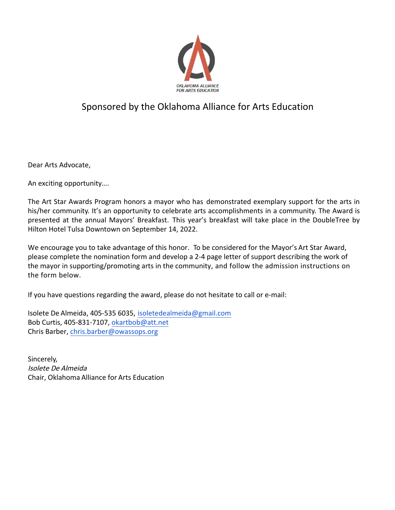

## Sponsored by the Oklahoma Alliance for Arts Education

Dear Arts Advocate,

An exciting opportunity….

The Art Star Awards Program honors a mayor who has demonstrated exemplary support for the arts in his/her community. It's an opportunity to celebrate arts accomplishments in a community. The Award is presented at the annual Mayors' Breakfast. This year's breakfast will take place in the DoubleTree by Hilton Hotel Tulsa Downtown on September 14, 2022.

We encourage you to take advantage of this honor. To be considered for the Mayor's Art Star Award, please complete the nomination form and develop a 2-4 page letter of support describing the work of the mayor in supporting/promoting arts in the community, and follow the admission instructions on the form below.

If you have questions regarding the award, please do not hesitate to call or e-mail:

Isolete De Almeida, 405-535 6035, isoletedealmeida@gmail.com Bob Curtis, 405-831-7107, okartbob@att.net Chris Barber, chris.barber@owassops.org

Sincerely, Isolete De Almeida Chair, Oklahoma Alliance for Arts Education